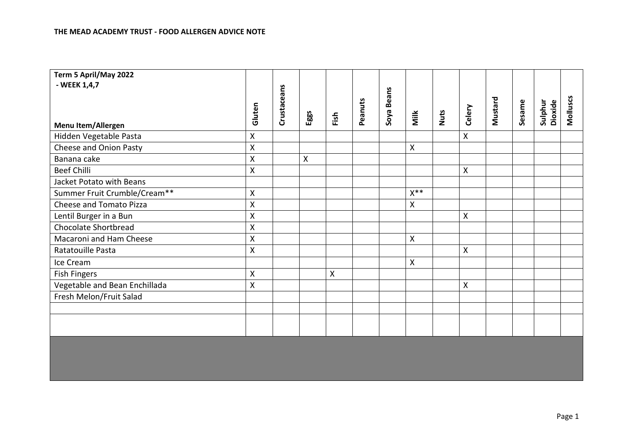| Term 5 April/May 2022<br>- WEEK 1,4,7 |                    |             |                    |              |         |            |              |      |              |         |        |                           |          |
|---------------------------------------|--------------------|-------------|--------------------|--------------|---------|------------|--------------|------|--------------|---------|--------|---------------------------|----------|
|                                       |                    | Crustaceans |                    |              |         |            |              |      |              |         |        |                           |          |
|                                       | Gluten             |             |                    |              | Peanuts | Soya Beans |              |      | Celery       | Mustard | Sesame | <b>Sulphur</b><br>Dioxide | Molluscs |
| Menu Item/Allergen                    |                    |             | Eggs               | Fish         |         |            | Milk         | Nuts |              |         |        |                           |          |
| Hidden Vegetable Pasta                | $\pmb{\mathsf{X}}$ |             |                    |              |         |            |              |      | $\mathsf{X}$ |         |        |                           |          |
| Cheese and Onion Pasty                | $\pmb{\mathsf{X}}$ |             |                    |              |         |            | $\mathsf{X}$ |      |              |         |        |                           |          |
| Banana cake                           | $\pmb{\mathsf{X}}$ |             | $\pmb{\mathsf{X}}$ |              |         |            |              |      |              |         |        |                           |          |
| <b>Beef Chilli</b>                    | $\mathsf{X}$       |             |                    |              |         |            |              |      | X            |         |        |                           |          |
| Jacket Potato with Beans              |                    |             |                    |              |         |            |              |      |              |         |        |                           |          |
| Summer Fruit Crumble/Cream**          | X                  |             |                    |              |         |            | $X^{**}$     |      |              |         |        |                           |          |
| Cheese and Tomato Pizza               | $\pmb{\mathsf{X}}$ |             |                    |              |         |            | X            |      |              |         |        |                           |          |
| Lentil Burger in a Bun                | $\pmb{\mathsf{X}}$ |             |                    |              |         |            |              |      | X            |         |        |                           |          |
| <b>Chocolate Shortbread</b>           | $\pmb{\mathsf{X}}$ |             |                    |              |         |            |              |      |              |         |        |                           |          |
| Macaroni and Ham Cheese               | $\pmb{\mathsf{X}}$ |             |                    |              |         |            | $\mathsf{X}$ |      |              |         |        |                           |          |
| Ratatouille Pasta                     | $\pmb{\mathsf{X}}$ |             |                    |              |         |            |              |      | X            |         |        |                           |          |
| Ice Cream                             |                    |             |                    |              |         |            | $\mathsf{X}$ |      |              |         |        |                           |          |
| <b>Fish Fingers</b>                   | X                  |             |                    | $\mathsf{X}$ |         |            |              |      |              |         |        |                           |          |
| Vegetable and Bean Enchillada         | $\mathsf{X}$       |             |                    |              |         |            |              |      | X            |         |        |                           |          |
| Fresh Melon/Fruit Salad               |                    |             |                    |              |         |            |              |      |              |         |        |                           |          |
|                                       |                    |             |                    |              |         |            |              |      |              |         |        |                           |          |
|                                       |                    |             |                    |              |         |            |              |      |              |         |        |                           |          |
|                                       |                    |             |                    |              |         |            |              |      |              |         |        |                           |          |
|                                       |                    |             |                    |              |         |            |              |      |              |         |        |                           |          |
|                                       |                    |             |                    |              |         |            |              |      |              |         |        |                           |          |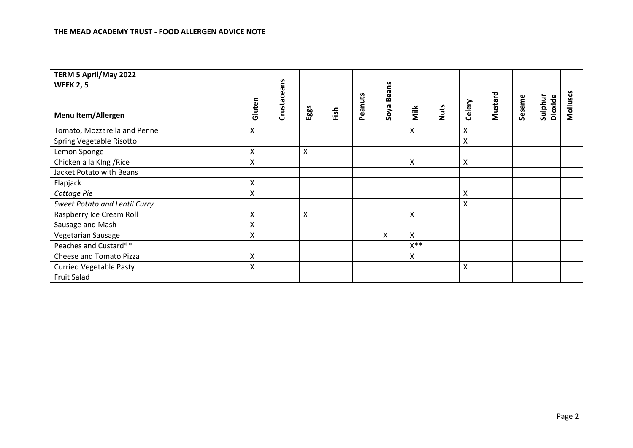| TERM 5 April/May 2022                |                    |             |                    |      |         |            |                |      |        |         |        |                    |          |
|--------------------------------------|--------------------|-------------|--------------------|------|---------|------------|----------------|------|--------|---------|--------|--------------------|----------|
| <b>WEEK 2, 5</b>                     |                    |             |                    |      |         |            |                |      |        |         |        |                    |          |
| <b>Menu Item/Allergen</b>            | Gluten             | Crustaceans | Eggs               | Fish | Peanuts | Soya Beans | Milk           | Nuts | Celery | Mustard | Sesame | Sulphur<br>Dioxide | Molluscs |
| Tomato, Mozzarella and Penne         | $\pmb{\times}$     |             |                    |      |         |            | X              |      | Χ      |         |        |                    |          |
| Spring Vegetable Risotto             |                    |             |                    |      |         |            |                |      | X      |         |        |                    |          |
| Lemon Sponge                         | $\mathsf{X}$       |             | $\pmb{\mathsf{X}}$ |      |         |            |                |      |        |         |        |                    |          |
| Chicken a la KIng / Rice             | X                  |             |                    |      |         |            | Χ              |      | X      |         |        |                    |          |
| Jacket Potato with Beans             |                    |             |                    |      |         |            |                |      |        |         |        |                    |          |
| Flapjack                             | Χ                  |             |                    |      |         |            |                |      |        |         |        |                    |          |
| Cottage Pie                          | $\pmb{\times}$     |             |                    |      |         |            |                |      | X      |         |        |                    |          |
| <b>Sweet Potato and Lentil Curry</b> |                    |             |                    |      |         |            |                |      | X      |         |        |                    |          |
| Raspberry Ice Cream Roll             | $\mathsf{\chi}$    |             | $\mathsf{X}$       |      |         |            | X              |      |        |         |        |                    |          |
| Sausage and Mash                     | Χ                  |             |                    |      |         |            |                |      |        |         |        |                    |          |
| Vegetarian Sausage                   | Χ                  |             |                    |      |         | X          | X              |      |        |         |        |                    |          |
| Peaches and Custard**                |                    |             |                    |      |         |            | $X^{\ast\ast}$ |      |        |         |        |                    |          |
| Cheese and Tomato Pizza              | Χ                  |             |                    |      |         |            | X              |      |        |         |        |                    |          |
| <b>Curried Vegetable Pasty</b>       | $\pmb{\mathsf{X}}$ |             |                    |      |         |            |                |      | Χ      |         |        |                    |          |
| <b>Fruit Salad</b>                   |                    |             |                    |      |         |            |                |      |        |         |        |                    |          |